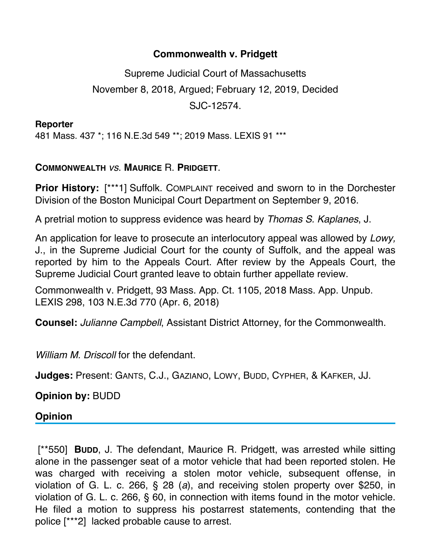## **Commonwealth v. Pridgett**

Supreme Judicial Court of Massachusetts November 8, 2018, Argued; February 12, 2019, Decided SJC-12574.

**Reporter** 481 Mass. 437 \*; 116 N.E.3d 549 \*\*; 2019 Mass. LEXIS 91 \*\*\*

## **COMMONWEALTH** *vs*. **MAURICE** R. **PRIDGETT**.

**Prior History:** [\*\*\*1] Suffolk. COMPLAINT received and sworn to in the Dorchester Division of the Boston Municipal Court Department on September 9, 2016.

A pretrial motion to suppress evidence was heard by *Thomas S. Kaplanes*, J.

An application for leave to prosecute an interlocutory appeal was allowed by *Lowy,* J., in the Supreme Judicial Court for the county of Suffolk, and the appeal was reported by him to the Appeals Court. After review by the Appeals Court, the Supreme Judicial Court granted leave to obtain further appellate review.

Commonwealth v. Pridgett, 93 Mass. App. Ct. 1105, 2018 Mass. App. Unpub. LEXIS 298, 103 N.E.3d 770 (Apr. 6, 2018)

**Counsel:** *Julianne Campbell*, Assistant District Attorney, for the Commonwealth.

*William M. Driscoll* for the defendant.

**Judges:** Present: GANTS, C.J., GAZIANO, LOWY, BUDD, CYPHER, & KAFKER, JJ.

**Opinion by:** BUDD

## **Opinion**

 [\*\*550] **BUDD**, J. The defendant, Maurice R. Pridgett, was arrested while sitting alone in the passenger seat of a motor vehicle that had been reported stolen. He was charged with receiving a stolen motor vehicle, subsequent offense, in violation of G. L. c. 266, § 28 (*a*), and receiving stolen property over \$250, in violation of G. L. c. 266, § 60, in connection with items found in the motor vehicle. He filed a motion to suppress his postarrest statements, contending that the police [\*\*\*2] lacked probable cause to arrest.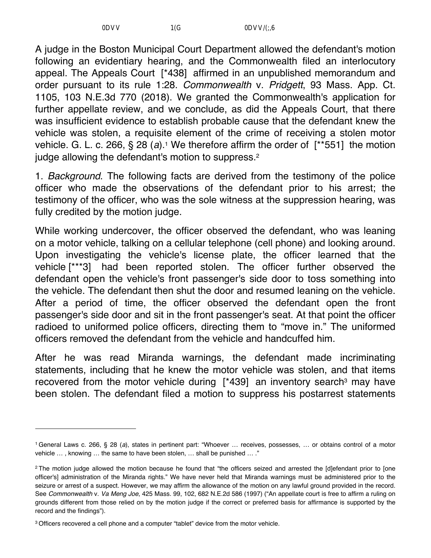A judge in the Boston Municipal Court Department allowed the defendant's motion following an evidentiary hearing, and the Commonwealth filed an interlocutory appeal. The Appeals Court [\*438] affirmed in an unpublished memorandum and order pursuant to its rule 1:28. *Commonwealth* v. *Pridgett*, 93 Mass. App. Ct. 1105, 103 N.E.3d 770 (2018). We granted the Commonwealth's application for further appellate review, and we conclude, as did the Appeals Court, that there was insufficient evidence to establish probable cause that the defendant knew the vehicle was stolen, a requisite element of the crime of receiving a stolen motor vehicle. G. L. c. 266, § 28 (*a*).1 We therefore affirm the order of [\*\*551] the motion judge allowing the defendant's motion to suppress.<sup>2</sup>

1. *Background*. The following facts are derived from the testimony of the police officer who made the observations of the defendant prior to his arrest; the testimony of the officer, who was the sole witness at the suppression hearing, was fully credited by the motion judge.

While working undercover, the officer observed the defendant, who was leaning on a motor vehicle, talking on a cellular telephone (cell phone) and looking around. Upon investigating the vehicle's license plate, the officer learned that the vehicle [\*\*\*3] had been reported stolen. The officer further observed the defendant open the vehicle's front passenger's side door to toss something into the vehicle. The defendant then shut the door and resumed leaning on the vehicle. After a period of time, the officer observed the defendant open the front passenger's side door and sit in the front passenger's seat. At that point the officer radioed to uniformed police officers, directing them to "move in." The uniformed officers removed the defendant from the vehicle and handcuffed him.

After he was read Miranda warnings, the defendant made incriminating statements, including that he knew the motor vehicle was stolen, and that items recovered from the motor vehicle during [\*439] an inventory search<sup>3</sup> may have been stolen. The defendant filed a motion to suppress his postarrest statements

<sup>1</sup> General Laws c. 266, § 28 (*a*), states in pertinent part: "Whoever … receives, possesses, … or obtains control of a motor vehicle … , knowing … the same to have been stolen, … shall be punished … ."

<sup>&</sup>lt;sup>2</sup> The motion judge allowed the motion because he found that "the officers seized and arrested the [d]efendant prior to [one officer's] administration of the Miranda rights." We have never held that Miranda warnings must be administered prior to the seizure or arrest of a suspect. However, we may affirm the allowance of the motion on any lawful ground provided in the record. See *Commonwealth* v. *Va Meng Joe*, 425 Mass. 99, 102, 682 N.E.2d 586 (1997) ("An appellate court is free to affirm a ruling on grounds different from those relied on by the motion judge if the correct or preferred basis for affirmance is supported by the record and the findings").

<sup>3</sup> Officers recovered a cell phone and a computer "tablet" device from the motor vehicle.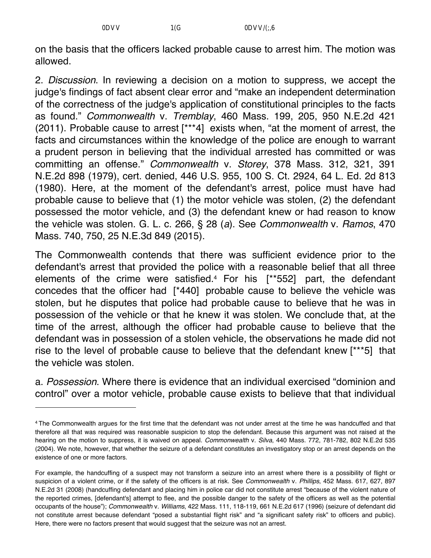on the basis that the officers lacked probable cause to arrest him. The motion was allowed.

2. *Discussion*. In reviewing a decision on a motion to suppress, we accept the judge's findings of fact absent clear error and "make an independent determination of the correctness of the judge's application of constitutional principles to the facts as found." *Commonwealth* v. *Tremblay*, 460 Mass. 199, 205, 950 N.E.2d 421 (2011). Probable cause to arrest [\*\*\*4] exists when, "at the moment of arrest, the facts and circumstances within the knowledge of the police are enough to warrant a prudent person in believing that the individual arrested has committed or was committing an offense." *Commonwealth* v. *Storey*, 378 Mass. 312, 321, 391 N.E.2d 898 (1979), cert. denied, 446 U.S. 955, 100 S. Ct. 2924, 64 L. Ed. 2d 813 (1980). Here, at the moment of the defendant's arrest, police must have had probable cause to believe that (1) the motor vehicle was stolen, (2) the defendant possessed the motor vehicle, and (3) the defendant knew or had reason to know the vehicle was stolen. G. L. c. 266, § 28 (*a*). See *Commonwealth* v. *Ramos*, 470 Mass. 740, 750, 25 N.E.3d 849 (2015).

The Commonwealth contends that there was sufficient evidence prior to the defendant's arrest that provided the police with a reasonable belief that all three elements of the crime were satisfied.4 For his [\*\*552] part, the defendant concedes that the officer had [\*440] probable cause to believe the vehicle was stolen, but he disputes that police had probable cause to believe that he was in possession of the vehicle or that he knew it was stolen. We conclude that, at the time of the arrest, although the officer had probable cause to believe that the defendant was in possession of a stolen vehicle, the observations he made did not rise to the level of probable cause to believe that the defendant knew [\*\*\*5] that the vehicle was stolen.

a. *Possession*. Where there is evidence that an individual exercised "dominion and control" over a motor vehicle, probable cause exists to believe that that individual

<sup>4</sup> The Commonwealth argues for the first time that the defendant was not under arrest at the time he was handcuffed and that therefore all that was required was reasonable suspicion to stop the defendant. Because this argument was not raised at the hearing on the motion to suppress, it is waived on appeal. *Commonwealth* v. *Silva*, 440 Mass. 772, 781-782, 802 N.E.2d 535 (2004). We note, however, that whether the seizure of a defendant constitutes an investigatory stop or an arrest depends on the existence of one or more factors.

For example, the handcuffing of a suspect may not transform a seizure into an arrest where there is a possibility of flight or suspicion of a violent crime, or if the safety of the officers is at risk. See *Commonwealth* v. *Phillips*, 452 Mass. 617, 627, 897 N.E.2d 31 (2008) (handcuffing defendant and placing him in police car did not constitute arrest "because of the violent nature of the reported crimes, [defendant's] attempt to flee, and the possible danger to the safety of the officers as well as the potential occupants of the house"); *Commonwealth* v. *Williams*, 422 Mass. 111, 118-119, 661 N.E.2d 617 (1996) (seizure of defendant did not constitute arrest because defendant "posed a substantial flight risk" and "a significant safety risk" to officers and public). Here, there were no factors present that would suggest that the seizure was not an arrest.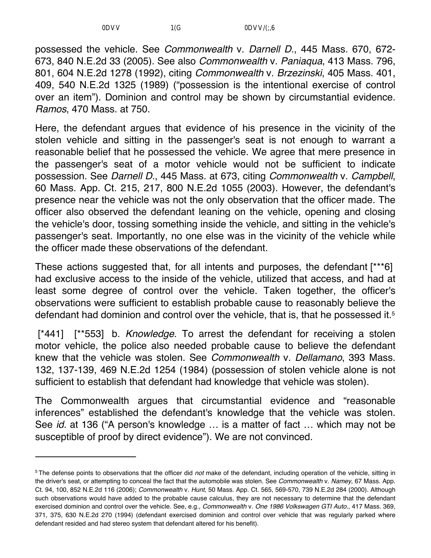possessed the vehicle. See *Commonwealth* v. *Darnell D.*, 445 Mass. 670, 672- 673, 840 N.E.2d 33 (2005). See also *Commonwealth* v. *Paniaqua*, 413 Mass. 796, 801, 604 N.E.2d 1278 (1992), citing *Commonwealth* v. *Brzezinski*, 405 Mass. 401, 409, 540 N.E.2d 1325 (1989) ("possession is the intentional exercise of control over an item"). Dominion and control may be shown by circumstantial evidence. *Ramos*, 470 Mass. at 750.

Here, the defendant argues that evidence of his presence in the vicinity of the stolen vehicle and sitting in the passenger's seat is not enough to warrant a reasonable belief that he possessed the vehicle. We agree that mere presence in the passenger's seat of a motor vehicle would not be sufficient to indicate possession. See *Darnell D.*, 445 Mass. at 673, citing *Commonwealth* v. *Campbell*, 60 Mass. App. Ct. 215, 217, 800 N.E.2d 1055 (2003). However, the defendant's presence near the vehicle was not the only observation that the officer made. The officer also observed the defendant leaning on the vehicle, opening and closing the vehicle's door, tossing something inside the vehicle, and sitting in the vehicle's passenger's seat. Importantly, no one else was in the vicinity of the vehicle while the officer made these observations of the defendant.

These actions suggested that, for all intents and purposes, the defendant [\*\*\*6] had exclusive access to the inside of the vehicle, utilized that access, and had at least some degree of control over the vehicle. Taken together, the officer's observations were sufficient to establish probable cause to reasonably believe the defendant had dominion and control over the vehicle, that is, that he possessed it.5

 [\*441] [\*\*553] b. *Knowledge*. To arrest the defendant for receiving a stolen motor vehicle, the police also needed probable cause to believe the defendant knew that the vehicle was stolen. See *Commonwealth* v. *Dellamano*, 393 Mass. 132, 137-139, 469 N.E.2d 1254 (1984) (possession of stolen vehicle alone is not sufficient to establish that defendant had knowledge that vehicle was stolen).

The Commonwealth argues that circumstantial evidence and "reasonable inferences" established the defendant's knowledge that the vehicle was stolen. See *id.* at 136 ("A person's knowledge … is a matter of fact … which may not be susceptible of proof by direct evidence"). We are not convinced.

<sup>5</sup> The defense points to observations that the officer did *not* make of the defendant, including operation of the vehicle, sitting in the driver's seat, or attempting to conceal the fact that the automobile was stolen. See *Commonwealth* v. *Namey*, 67 Mass. App. Ct. 94, 100, 852 N.E.2d 116 (2006); *Commonwealth* v. *Hunt*, 50 Mass. App. Ct. 565, 569-570, 739 N.E.2d 284 (2000). Although such observations would have added to the probable cause calculus, they are not necessary to determine that the defendant exercised dominion and control over the vehicle. See, e.g., *Commonwealth* v. *One 1986 Volkswagen GTI Auto.*, 417 Mass. 369, 371, 375, 630 N.E.2d 270 (1994) (defendant exercised dominion and control over vehicle that was regularly parked where defendant resided and had stereo system that defendant altered for his benefit).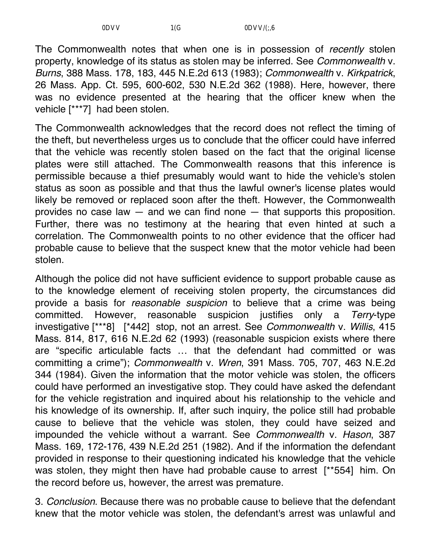The Commonwealth notes that when one is in possession of *recently* stolen property, knowledge of its status as stolen may be inferred. See *Commonwealth* v. *Burns*, 388 Mass. 178, 183, 445 N.E.2d 613 (1983); *Commonwealth* v. *Kirkpatrick*, 26 Mass. App. Ct. 595, 600-602, 530 N.E.2d 362 (1988). Here, however, there was no evidence presented at the hearing that the officer knew when the vehicle [\*\*\*7] had been stolen.

The Commonwealth acknowledges that the record does not reflect the timing of the theft, but nevertheless urges us to conclude that the officer could have inferred that the vehicle was recently stolen based on the fact that the original license plates were still attached. The Commonwealth reasons that this inference is permissible because a thief presumably would want to hide the vehicle's stolen status as soon as possible and that thus the lawful owner's license plates would likely be removed or replaced soon after the theft. However, the Commonwealth provides no case law — and we can find none — that supports this proposition. Further, there was no testimony at the hearing that even hinted at such a correlation. The Commonwealth points to no other evidence that the officer had probable cause to believe that the suspect knew that the motor vehicle had been stolen.

Although the police did not have sufficient evidence to support probable cause as to the knowledge element of receiving stolen property, the circumstances did provide a basis for *reasonable suspicion* to believe that a crime was being committed. However, reasonable suspicion justifies only a *Terry*-type investigative [\*\*\*8] [\*442] stop, not an arrest. See *Commonwealth* v. *Willis*, 415 Mass. 814, 817, 616 N.E.2d 62 (1993) (reasonable suspicion exists where there are "specific articulable facts … that the defendant had committed or was committing a crime"); *Commonwealth* v. *Wren*, 391 Mass. 705, 707, 463 N.E.2d 344 (1984). Given the information that the motor vehicle was stolen, the officers could have performed an investigative stop. They could have asked the defendant for the vehicle registration and inquired about his relationship to the vehicle and his knowledge of its ownership. If, after such inquiry, the police still had probable cause to believe that the vehicle was stolen, they could have seized and impounded the vehicle without a warrant. See *Commonwealth* v. *Hason*, 387 Mass. 169, 172-176, 439 N.E.2d 251 (1982). And if the information the defendant provided in response to their questioning indicated his knowledge that the vehicle was stolen, they might then have had probable cause to arrest [\*\*554] him. On the record before us, however, the arrest was premature.

3. *Conclusion*. Because there was no probable cause to believe that the defendant knew that the motor vehicle was stolen, the defendant's arrest was unlawful and